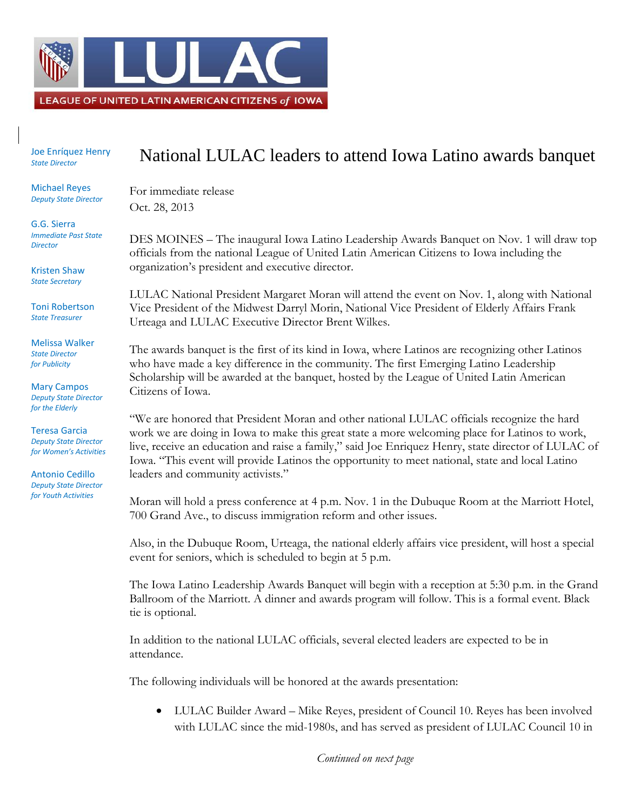

Joe Enríquez Henry *State Director*

Michael Reyes *Deputy State Director*

G.G. Sierra *Immediate Past State Director*

Kristen Shaw *State Secretary*

Toni Robertson *State Treasurer*

Melissa Walker *State Director for Publicity*

Mary Campos *Deputy State Director for the Elderly*

Teresa Garcia *Deputy State Director for Women's Activities*

Antonio Cedillo *Deputy State Director for Youth Activities*

## National LULAC leaders to attend Iowa Latino awards banquet

For immediate release Oct. 28, 2013

DES MOINES – The inaugural Iowa Latino Leadership Awards Banquet on Nov. 1 will draw top officials from the national League of United Latin American Citizens to Iowa including the organization's president and executive director.

LULAC National President Margaret Moran will attend the event on Nov. 1, along with National Vice President of the Midwest Darryl Morin, National Vice President of Elderly Affairs Frank Urteaga and LULAC Executive Director Brent Wilkes.

The awards banquet is the first of its kind in Iowa, where Latinos are recognizing other Latinos who have made a key difference in the community. The first Emerging Latino Leadership Scholarship will be awarded at the banquet, hosted by the League of United Latin American Citizens of Iowa.

"We are honored that President Moran and other national LULAC officials recognize the hard work we are doing in Iowa to make this great state a more welcoming place for Latinos to work, live, receive an education and raise a family," said Joe Enriquez Henry, state director of LULAC of Iowa. "This event will provide Latinos the opportunity to meet national, state and local Latino leaders and community activists."

Moran will hold a press conference at 4 p.m. Nov. 1 in the Dubuque Room at the Marriott Hotel, 700 Grand Ave., to discuss immigration reform and other issues.

Also, in the Dubuque Room, Urteaga, the national elderly affairs vice president, will host a special event for seniors, which is scheduled to begin at 5 p.m.

The Iowa Latino Leadership Awards Banquet will begin with a reception at 5:30 p.m. in the Grand Ballroom of the Marriott. A dinner and awards program will follow. This is a formal event. Black tie is optional.

In addition to the national LULAC officials, several elected leaders are expected to be in attendance.

The following individuals will be honored at the awards presentation:

 LULAC Builder Award – Mike Reyes, president of Council 10. Reyes has been involved with LULAC since the mid-1980s, and has served as president of LULAC Council 10 in

*Continued on next page*